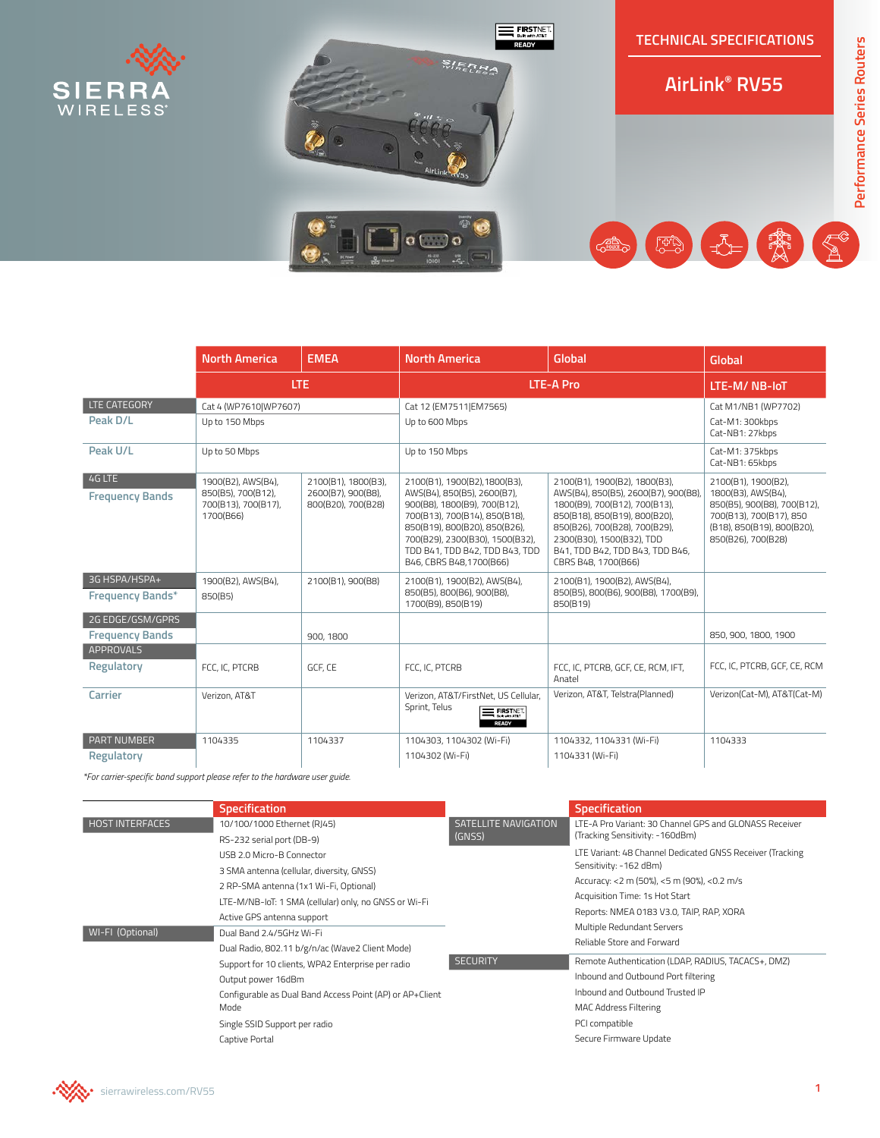

|                                            | <b>North America</b>                                                         | <b>EMEA</b>                                                     | <b>North America</b>                                                                                                                                                                                                                                            | Global                                                                                                                                                                                                                                                         | Global                                                                                                                                                  |
|--------------------------------------------|------------------------------------------------------------------------------|-----------------------------------------------------------------|-----------------------------------------------------------------------------------------------------------------------------------------------------------------------------------------------------------------------------------------------------------------|----------------------------------------------------------------------------------------------------------------------------------------------------------------------------------------------------------------------------------------------------------------|---------------------------------------------------------------------------------------------------------------------------------------------------------|
|                                            | <b>LTE</b>                                                                   |                                                                 | <b>LTE-A Pro</b>                                                                                                                                                                                                                                                |                                                                                                                                                                                                                                                                | LTE-M/NB-IoT                                                                                                                                            |
| LTE CATEGORY                               | Cat 4 (WP7610 WP7607)                                                        |                                                                 | Cat 12 (EM7511 EM7565)                                                                                                                                                                                                                                          |                                                                                                                                                                                                                                                                | Cat M1/NB1 (WP7702)                                                                                                                                     |
| Peak D/L                                   | Up to 150 Mbps                                                               |                                                                 | Up to 600 Mbps                                                                                                                                                                                                                                                  |                                                                                                                                                                                                                                                                | Cat-M1: 300kbps<br>Cat-NB1: 27kbps                                                                                                                      |
| Peak U/L                                   | Up to 50 Mbps                                                                |                                                                 | Up to 150 Mbps                                                                                                                                                                                                                                                  |                                                                                                                                                                                                                                                                | Cat-M1: 375kbps<br>Cat-NB1: 65kbps                                                                                                                      |
| 4G LTE<br><b>Frequency Bands</b>           | 1900(B2), AWS(B4),<br>850(B5), 700(B12),<br>700(B13), 700(B17),<br>1700(B66) | 2100(B1), 1800(B3).<br>2600(B7), 900(B8),<br>800(B20), 700(B28) | 2100(B1), 1900(B2), 1800(B3),<br>AWS(B4), 850(B5), 2600(B7),<br>900(B8), 1800(B9), 700(B12),<br>700(B13), 700(B14), 850(B18),<br>850(B19), 800(B20), 850(B26),<br>700(B29), 2300(B30), 1500(B32),<br>TDD B41, TDD B42, TDD B43, TDD<br>B46, CBRS B48, 1700(B66) | 2100(B1), 1900(B2), 1800(B3),<br>AWS(B4), 850(B5), 2600(B7), 900(B8)<br>1800(B9), 700(B12), 700(B13),<br>850(B18), 850(B19), 800(B20),<br>850(B26), 700(B28), 700(B29),<br>2300(B30), 1500(B32), TDD<br>B41, TDD B42, TDD B43, TDD B46,<br>CBRS B48, 1700(B66) | 2100(B1), 1900(B2).<br>1800(B3), AWS(B4),<br>850(B5), 900(B8), 700(B12),<br>700(B13), 700(B17), 850<br>(B18), 850(B19), 800(B20),<br>850(B26), 700(B28) |
| 3G HSPA/HSPA+<br><b>Frequency Bands*</b>   | 1900(B2), AWS(B4),<br>850(B5)                                                | 2100(B1), 900(B8)                                               | 2100(B1), 1900(B2), AWS(B4),<br>850(B5), 800(B6), 900(B8),<br>1700(B9), 850(B19)                                                                                                                                                                                | 2100(B1), 1900(B2), AWS(B4),<br>850(B5), 800(B6), 900(B8), 1700(B9),<br>850(B19)                                                                                                                                                                               |                                                                                                                                                         |
| 2G EDGE/GSM/GPRS<br><b>Frequency Bands</b> |                                                                              | 900, 1800                                                       |                                                                                                                                                                                                                                                                 |                                                                                                                                                                                                                                                                | 850, 900, 1800, 1900                                                                                                                                    |
| <b>APPROVALS</b><br>Regulatory             | FCC. IC. PTCRB                                                               | GCF. CE                                                         | FCC, IC, PTCRB                                                                                                                                                                                                                                                  | FCC, IC, PTCRB, GCF, CE, RCM, IFT,<br>Anatel                                                                                                                                                                                                                   | FCC, IC, PTCRB, GCF, CE, RCM                                                                                                                            |
| Carrier                                    | Verizon, AT&T                                                                |                                                                 | Verizon, AT&T/FirstNet, US Cellular,<br>Sprint, Telus<br><b>EXECUTE:</b> FIRSTNET.<br><b>Bidle with AT&amp;T</b><br><b>READY</b>                                                                                                                                | Verizon, AT&T, Telstra(Planned)                                                                                                                                                                                                                                | Verizon(Cat-M), AT&T(Cat-M)                                                                                                                             |
| <b>PART NUMBER</b><br><b>Regulatory</b>    | 1104335                                                                      | 1104337                                                         | 1104303, 1104302 (Wi-Fi)<br>1104302 (Wi-Fi)                                                                                                                                                                                                                     | 1104332, 1104331 (Wi-Fi)<br>1104331 (Wi-Fi)                                                                                                                                                                                                                    | 1104333                                                                                                                                                 |

*\*For carrier-specific band support please refer to the hardware user guide.*

|                        | <b>Specification</b>                                     |                                | <b>Specification</b>                                                                                                                                                             |  |
|------------------------|----------------------------------------------------------|--------------------------------|----------------------------------------------------------------------------------------------------------------------------------------------------------------------------------|--|
| <b>HOST INTERFACES</b> | 10/100/1000 Ethernet (RJ45)                              | SATELLITE NAVIGATION<br>(GNSS) | I TF-A Pro Variant: 30 Channel GPS and GLONASS Receiver                                                                                                                          |  |
|                        | RS-232 serial port (DB-9)<br>USB 2.0 Micro-B Connector   |                                | (Tracking Sensitivity: -160dBm)                                                                                                                                                  |  |
|                        |                                                          |                                | LTE Variant: 48 Channel Dedicated GNSS Receiver (Tracking                                                                                                                        |  |
|                        | 3 SMA antenna (cellular, diversity, GNSS)                |                                | Sensitivity: -162 dBm)<br>Accuracy: <2 m (50%), <5 m (90%), <0.2 m/s<br>Acquisition Time: 1s Hot Start<br>Reports: NMEA 0183 V3.0, TAIP, RAP, XORA<br>Multiple Redundant Servers |  |
|                        | 2 RP-SMA antenna (1x1 Wi-Fi, Optional)                   | <b>SECURITY</b>                |                                                                                                                                                                                  |  |
|                        | LTE-M/NB-IoT: 1 SMA (cellular) only, no GNSS or Wi-Fi    |                                |                                                                                                                                                                                  |  |
|                        | Active GPS antenna support                               |                                |                                                                                                                                                                                  |  |
| WI-FI (Optional)       | Dual Band 2.4/5GHz Wi-Fi                                 |                                |                                                                                                                                                                                  |  |
|                        | Dual Radio, 802.11 b/g/n/ac (Wave2 Client Mode)          |                                | Reliable Store and Forward                                                                                                                                                       |  |
|                        | Support for 10 clients, WPA2 Enterprise per radio        |                                | Remote Authentication (LDAP, RADIUS, TACACS+, DMZ)                                                                                                                               |  |
|                        | Output power 16dBm                                       |                                | Inbound and Outbound Port filtering                                                                                                                                              |  |
|                        | Configurable as Dual Band Access Point (AP) or AP+Client |                                | Inbound and Outbound Trusted IP                                                                                                                                                  |  |
|                        | Mode                                                     |                                | <b>MAC Address Filtering</b>                                                                                                                                                     |  |
|                        | Single SSID Support per radio                            |                                | PCI compatible                                                                                                                                                                   |  |
|                        | Captive Portal                                           |                                | Secure Firmware Update                                                                                                                                                           |  |

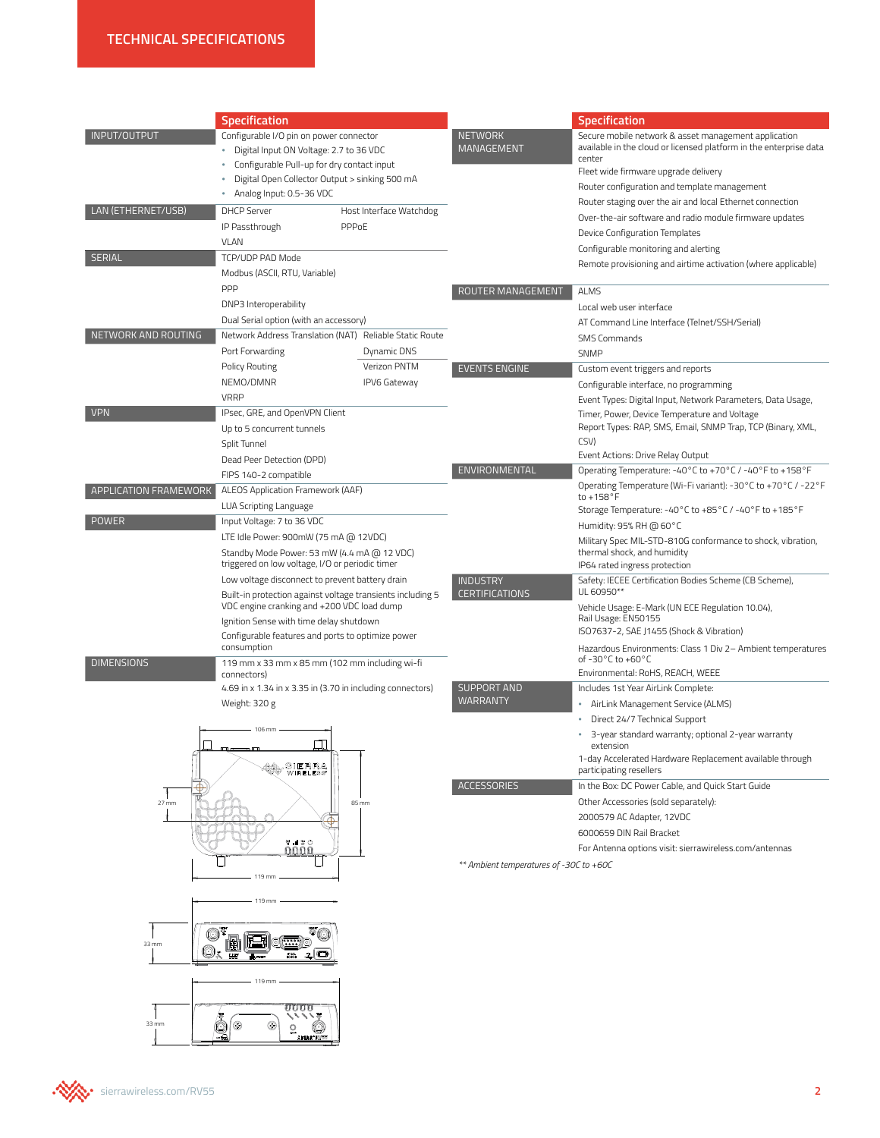| INPUT/OUTPUT<br><b>NETWORK</b><br>Configurable I/O pin on power connector<br><b>MANAGEMENT</b><br>Digital Input ON Voltage: 2.7 to 36 VDC<br>center<br>Configurable Pull-up for dry contact input<br>Fleet wide firmware upgrade delivery<br>Digital Open Collector Output > sinking 500 mA<br>Router configuration and template management<br>Analog Input: 0.5-36 VDC<br>Router staging over the air and local Ethernet connection<br>LAN (ETHERNET/USB)<br><b>DHCP Server</b><br>Host Interface Watchdog<br>IP Passthrough<br>PPPoE<br>Device Configuration Templates<br><b>VLAN</b><br>Configurable monitoring and alerting<br><b>SERIAL</b><br>TCP/UDP PAD Mode<br>Modbus (ASCII, RTU, Variable)<br><b>PPP</b><br>ROUTER MANAGEMENT<br><b>ALMS</b><br>DNP3 Interoperability<br>Local web user interface<br>Dual Serial option (with an accessory)<br>AT Command Line Interface (Telnet/SSH/Serial)<br>NETWORK AND ROUTING<br>Network Address Translation (NAT) Reliable Static Route<br><b>SMS Commands</b><br>Port Forwarding<br>Dynamic DNS<br><b>SNMP</b><br>Verizon PNTM<br>Policy Routing<br><b>EVENTS ENGINE</b><br>Custom event triggers and reports<br>NEMO/DMNR<br><b>IPV6 Gateway</b><br>Configurable interface, no programming<br><b>VRRP</b><br><b>VPN</b><br>IPsec, GRE, and OpenVPN Client<br>Timer, Power, Device Temperature and Voltage<br>Up to 5 concurrent tunnels<br>CSV)<br>Split Tunnel<br>Event Actions: Drive Relay Output<br>Dead Peer Detection (DPD)<br>ENVIRONMENTAL<br>FIPS 140-2 compatible<br>APPLICATION FRAMEWORK<br>ALEOS Application Framework (AAF)<br>to +158°F<br>LUA Scripting Language<br><b>POWER</b><br>Input Voltage: 7 to 36 VDC<br>Humidity: 95% RH @ 60°C<br>LTE Idle Power: 900mW (75 mA @ 12VDC)<br>Standby Mode Power: 53 mW (4.4 mA @ 12 VDC)<br>thermal shock, and humidity<br>triggered on low voltage, I/O or periodic timer<br>IP64 rated ingress protection<br>Low voltage disconnect to prevent battery drain<br><b>INDUSTRY</b><br>UL 60950**<br><b>CERTIFICATIONS</b><br>Built-in protection against voltage transients including 5<br>VDC engine cranking and +200 VDC load dump<br>Rail Usage: EN50155<br>Ignition Sense with time delay shutdown<br>ISO7637-2, SAE J1455 (Shock & Vibration)<br>Configurable features and ports to optimize power<br>consumption<br>of-30°C to +60°C<br><b>DIMENSIONS</b><br>119 mm x 33 mm x 85 mm (102 mm including wi-fi<br>Environmental: RoHS, REACH, WEEE<br>connectors)<br><b>SUPPORT AND</b><br>Includes 1st Year AirLink Complete:<br>4.69 in x 1.34 in x 3.35 in (3.70 in including connectors)<br>WARRANTY<br>Weight: 320 g<br>AirLink Management Service (ALMS) | <b>Specification</b> |  | <b>Specification</b>                                                                                                                                                                  |  |
|--------------------------------------------------------------------------------------------------------------------------------------------------------------------------------------------------------------------------------------------------------------------------------------------------------------------------------------------------------------------------------------------------------------------------------------------------------------------------------------------------------------------------------------------------------------------------------------------------------------------------------------------------------------------------------------------------------------------------------------------------------------------------------------------------------------------------------------------------------------------------------------------------------------------------------------------------------------------------------------------------------------------------------------------------------------------------------------------------------------------------------------------------------------------------------------------------------------------------------------------------------------------------------------------------------------------------------------------------------------------------------------------------------------------------------------------------------------------------------------------------------------------------------------------------------------------------------------------------------------------------------------------------------------------------------------------------------------------------------------------------------------------------------------------------------------------------------------------------------------------------------------------------------------------------------------------------------------------------------------------------------------------------------------------------------------------------------------------------------------------------------------------------------------------------------------------------------------------------------------------------------------------------------------------------------------------------------------------------------------------------------------------------------------------------------------------------------------------------------------------------------------------------------------------------------------------------------------------------------------------------------------------------------------------------------|----------------------|--|---------------------------------------------------------------------------------------------------------------------------------------------------------------------------------------|--|
|                                                                                                                                                                                                                                                                                                                                                                                                                                                                                                                                                                                                                                                                                                                                                                                                                                                                                                                                                                                                                                                                                                                                                                                                                                                                                                                                                                                                                                                                                                                                                                                                                                                                                                                                                                                                                                                                                                                                                                                                                                                                                                                                                                                                                                                                                                                                                                                                                                                                                                                                                                                                                                                                                |                      |  | Secure mobile network & asset management application<br>available in the cloud or licensed platform in the enterprise data                                                            |  |
|                                                                                                                                                                                                                                                                                                                                                                                                                                                                                                                                                                                                                                                                                                                                                                                                                                                                                                                                                                                                                                                                                                                                                                                                                                                                                                                                                                                                                                                                                                                                                                                                                                                                                                                                                                                                                                                                                                                                                                                                                                                                                                                                                                                                                                                                                                                                                                                                                                                                                                                                                                                                                                                                                |                      |  | Over-the-air software and radio module firmware updates                                                                                                                               |  |
|                                                                                                                                                                                                                                                                                                                                                                                                                                                                                                                                                                                                                                                                                                                                                                                                                                                                                                                                                                                                                                                                                                                                                                                                                                                                                                                                                                                                                                                                                                                                                                                                                                                                                                                                                                                                                                                                                                                                                                                                                                                                                                                                                                                                                                                                                                                                                                                                                                                                                                                                                                                                                                                                                |                      |  | Remote provisioning and airtime activation (where applicable)                                                                                                                         |  |
|                                                                                                                                                                                                                                                                                                                                                                                                                                                                                                                                                                                                                                                                                                                                                                                                                                                                                                                                                                                                                                                                                                                                                                                                                                                                                                                                                                                                                                                                                                                                                                                                                                                                                                                                                                                                                                                                                                                                                                                                                                                                                                                                                                                                                                                                                                                                                                                                                                                                                                                                                                                                                                                                                |                      |  |                                                                                                                                                                                       |  |
|                                                                                                                                                                                                                                                                                                                                                                                                                                                                                                                                                                                                                                                                                                                                                                                                                                                                                                                                                                                                                                                                                                                                                                                                                                                                                                                                                                                                                                                                                                                                                                                                                                                                                                                                                                                                                                                                                                                                                                                                                                                                                                                                                                                                                                                                                                                                                                                                                                                                                                                                                                                                                                                                                |                      |  | Event Types: Digital Input, Network Parameters, Data Usage,                                                                                                                           |  |
|                                                                                                                                                                                                                                                                                                                                                                                                                                                                                                                                                                                                                                                                                                                                                                                                                                                                                                                                                                                                                                                                                                                                                                                                                                                                                                                                                                                                                                                                                                                                                                                                                                                                                                                                                                                                                                                                                                                                                                                                                                                                                                                                                                                                                                                                                                                                                                                                                                                                                                                                                                                                                                                                                |                      |  | Report Types: RAP, SMS, Email, SNMP Trap, TCP (Binary, XML,<br>Operating Temperature: -40°C to +70°C / -40°F to +158°F                                                                |  |
|                                                                                                                                                                                                                                                                                                                                                                                                                                                                                                                                                                                                                                                                                                                                                                                                                                                                                                                                                                                                                                                                                                                                                                                                                                                                                                                                                                                                                                                                                                                                                                                                                                                                                                                                                                                                                                                                                                                                                                                                                                                                                                                                                                                                                                                                                                                                                                                                                                                                                                                                                                                                                                                                                |                      |  | Operating Temperature (Wi-Fi variant): -30°C to +70°C / -22°F<br>Storage Temperature: -40°C to +85°C / -40°F to +185°F<br>Military Spec MIL-STD-810G conformance to shock, vibration, |  |
|                                                                                                                                                                                                                                                                                                                                                                                                                                                                                                                                                                                                                                                                                                                                                                                                                                                                                                                                                                                                                                                                                                                                                                                                                                                                                                                                                                                                                                                                                                                                                                                                                                                                                                                                                                                                                                                                                                                                                                                                                                                                                                                                                                                                                                                                                                                                                                                                                                                                                                                                                                                                                                                                                |                      |  | Safety: IECEE Certification Bodies Scheme (CB Scheme),<br>Vehicle Usage: E-Mark (UN ECE Regulation 10.04),                                                                            |  |
|                                                                                                                                                                                                                                                                                                                                                                                                                                                                                                                                                                                                                                                                                                                                                                                                                                                                                                                                                                                                                                                                                                                                                                                                                                                                                                                                                                                                                                                                                                                                                                                                                                                                                                                                                                                                                                                                                                                                                                                                                                                                                                                                                                                                                                                                                                                                                                                                                                                                                                                                                                                                                                                                                |                      |  | Hazardous Environments: Class 1 Div 2- Ambient temperatures                                                                                                                           |  |
| Direct 24/7 Technical Support<br>٠<br>106 m<br>extension<br>₩° <sup>SIERRA</sup><br>₩° wireless'<br>participating resellers<br><b>ACCESSORIES</b><br>In the Box: DC Power Cable, and Quick Start Guide<br>Other Accessories (sold separately):<br>$27 \text{ mm}$<br>85 mm<br>2000579 AC Adapter, 12VDC<br>Э                                                                                                                                                                                                                                                                                                                                                                                                                                                                                                                                                                                                                                                                                                                                                                                                                                                                                                                                                                                                                                                                                                                                                                                                                                                                                                                                                                                                                                                                                                                                                                                                                                                                                                                                                                                                                                                                                                                                                                                                                                                                                                                                                                                                                                                                                                                                                                   |                      |  | 3-year standard warranty; optional 2-year warranty<br>1-day Accelerated Hardware Replacement available through                                                                        |  |

តំព័ត៌ ◨  $-119$  mm  $-$ 

119 mm

다



TQ



 $\circledcirc$ 

33 mm

33 mm

For Antenna options visit: sierrawireless.com/antennas